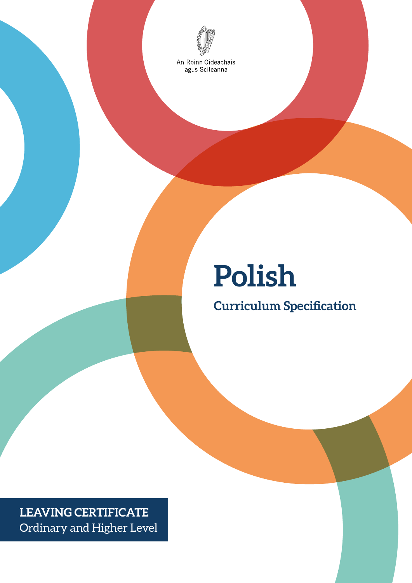

An Roinn Oideachais<br>agus Scileanna

# **Polish**

**Curriculum Specification**

**LEAVING CERTIFICATE** Ordinary and Higher Level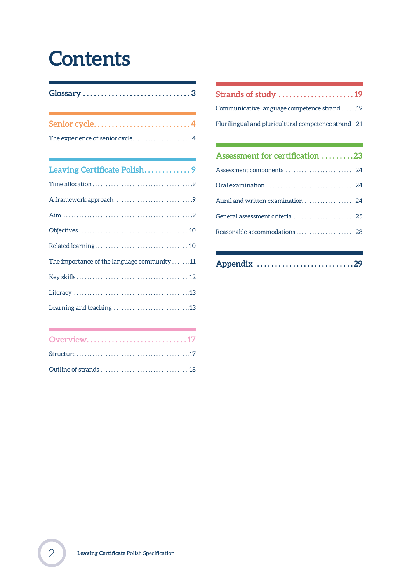## **Contents**

| Glossary 3                                                                         |
|------------------------------------------------------------------------------------|
| Senior cycle4                                                                      |
|                                                                                    |
| and the control of the control of the control of the control of the control of the |
| Leaving Certificate Polish9                                                        |
|                                                                                    |
|                                                                                    |
|                                                                                    |
|                                                                                    |
|                                                                                    |
| The importance of the language community 11                                        |
|                                                                                    |
|                                                                                    |
|                                                                                    |

| Overview17 |  |
|------------|--|
|            |  |
|            |  |

| Strands of study 19                                  |  |  |  |  |  |  |
|------------------------------------------------------|--|--|--|--|--|--|
| Communicative language competence strand 19          |  |  |  |  |  |  |
| Plurilingual and pluricultural competence strand. 21 |  |  |  |  |  |  |
|                                                      |  |  |  |  |  |  |
| Assessment for certification 23                      |  |  |  |  |  |  |
| Assessment components  24                            |  |  |  |  |  |  |
|                                                      |  |  |  |  |  |  |
| Aural and written examination  24                    |  |  |  |  |  |  |
| General assessment criteria  25                      |  |  |  |  |  |  |
| Reasonable accommodations  28                        |  |  |  |  |  |  |
|                                                      |  |  |  |  |  |  |

| Appendix 29 |  |  |  |  |  |  |  |  |  |  |  |  |  |  |  |  |  |  |  |  |  |  |  |  |  |  |  |  |  |
|-------------|--|--|--|--|--|--|--|--|--|--|--|--|--|--|--|--|--|--|--|--|--|--|--|--|--|--|--|--|--|
|-------------|--|--|--|--|--|--|--|--|--|--|--|--|--|--|--|--|--|--|--|--|--|--|--|--|--|--|--|--|--|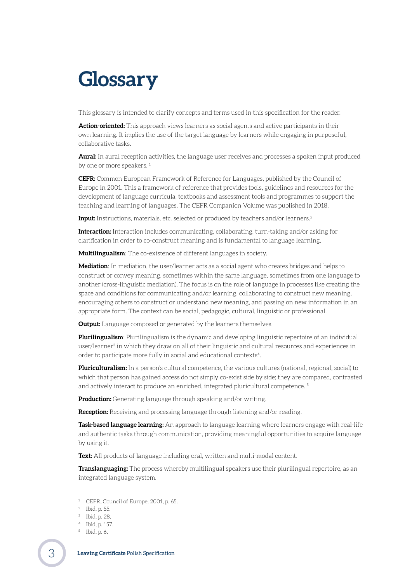## <span id="page-2-0"></span>**Glossary**

This glossary is intended to clarify concepts and terms used in this specification for the reader.

**Action-oriented:** This approach views learners as social agents and active participants in their own learning. It implies the use of the target language by learners while engaging in purposeful, collaborative tasks.

**Aural:** In aural reception activities, the language user receives and processes a spoken input produced by one or more speakers.<sup>1</sup>

**CEFR:** Common European Framework of Reference for Languages, published by the Council of Europe in 2001. This a framework of reference that provides tools, guidelines and resources for the development of language curricula, textbooks and assessment tools and programmes to support the teaching and learning of languages. The CEFR Companion Volume was published in 2018.

**Input:** Instructions, materials, etc. selected or produced by teachers and/or learners.<sup>2</sup>

**Interaction:** Interaction includes communicating, collaborating, turn-taking and/or asking for clarification in order to co-construct meaning and is fundamental to language learning.

**Multilingualism**: The co-existence of different languages in society.

**Mediation**: In mediation, the user/learner acts as a social agent who creates bridges and helps to construct or convey meaning, sometimes within the same language, sometimes from one language to another (cross-linguistic mediation). The focus is on the role of language in processes like creating the space and conditions for communicating and/or learning, collaborating to construct new meaning, encouraging others to construct or understand new meaning, and passing on new information in an appropriate form. The context can be social, pedagogic, cultural, linguistic or professional.

**Output:** Language composed or generated by the learners themselves.

**Plurilingualism**: Plurilingualism is the dynamic and developing linguistic repertoire of an individual user/learner<sup>3</sup> in which they draw on all of their linguistic and cultural resources and experiences in order to participate more fully in social and educational contexts<sup>4</sup>.

**Pluriculturalism:** In a person's cultural competence, the various cultures (national, regional, social) to which that person has gained access do not simply co-exist side by side; they are compared, contrasted and actively interact to produce an enriched, integrated pluricultural competence. 5

**Production:** Generating language through speaking and/or writing.

**Reception:** Receiving and processing language through listening and/or reading.

**Task-based language learning:** An approach to language learning where learners engage with real-life and authentic tasks through communication, providing meaningful opportunities to acquire language by using it.

**Text:** All products of language including oral, written and multi-modal content.

**Translanguaging:** The process whereby multilingual speakers use their plurilingual repertoire, as an integrated language system.

- CEFR, Council of Europe, 2001, p. 65.
- <sup>2</sup> Ibid, p. 55.
- <sup>3</sup> Ibid, p. 28.
- <sup>4</sup> Ibid, p. 157.
- <sup>5</sup> Ibid, p. 6.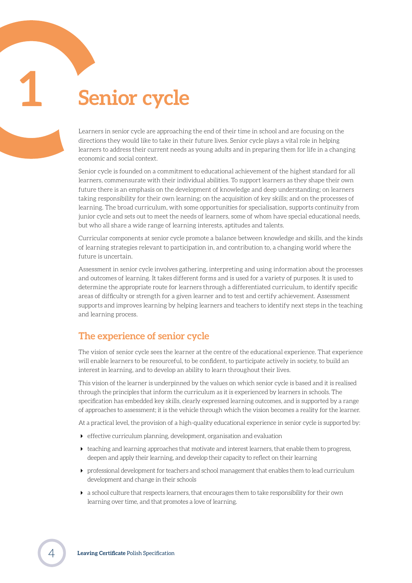## <span id="page-3-0"></span>**1 Senior cycle**

Learners in senior cycle are approaching the end of their time in school and are focusing on the directions they would like to take in their future lives. Senior cycle plays a vital role in helping learners to address their current needs as young adults and in preparing them for life in a changing economic and social context.

Senior cycle is founded on a commitment to educational achievement of the highest standard for all learners, commensurate with their individual abilities. To support learners as they shape their own future there is an emphasis on the development of knowledge and deep understanding; on learners taking responsibility for their own learning; on the acquisition of key skills; and on the processes of learning. The broad curriculum, with some opportunities for specialisation, supports continuity from junior cycle and sets out to meet the needs of learners, some of whom have special educational needs, but who all share a wide range of learning interests, aptitudes and talents.

Curricular components at senior cycle promote a balance between knowledge and skills, and the kinds of learning strategies relevant to participation in, and contribution to, a changing world where the future is uncertain.

Assessment in senior cycle involves gathering, interpreting and using information about the processes and outcomes of learning. It takes different forms and is used for a variety of purposes. It is used to determine the appropriate route for learners through a differentiated curriculum, to identify specific areas of difficulty or strength for a given learner and to test and certify achievement. Assessment supports and improves learning by helping learners and teachers to identify next steps in the teaching and learning process.

## **The experience of senior cycle**

The vision of senior cycle sees the learner at the centre of the educational experience. That experience will enable learners to be resourceful, to be confident, to participate actively in society, to build an interest in learning, and to develop an ability to learn throughout their lives.

This vision of the learner is underpinned by the values on which senior cycle is based and it is realised through the principles that inform the curriculum as it is experienced by learners in schools. The specification has embedded key skills, clearly expressed learning outcomes, and is supported by a range of approaches to assessment; it is the vehicle through which the vision becomes a reality for the learner.

At a practical level, the provision of a high-quality educational experience in senior cycle is supported by:

- effective curriculum planning, development, organisation and evaluation
- $\triangleright$  teaching and learning approaches that motivate and interest learners, that enable them to progress, deepen and apply their learning, and develop their capacity to reflect on their learning
- professional development for teachers and school management that enables them to lead curriculum development and change in their schools
- a school culture that respects learners, that encourages them to take responsibility for their own learning over time, and that promotes a love of learning.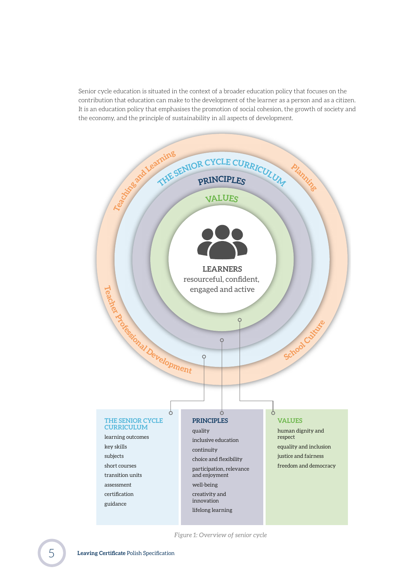Senior cycle education is situated in the context of a broader education policy that focuses on the contribution that education can make to the development of the learner as a person and as a citizen. It is an education policy that emphasises the promotion of social cohesion, the growth of society and the economy, and the principle of sustainability in all aspects of development.



*Figure 1: Overview of senior cycle*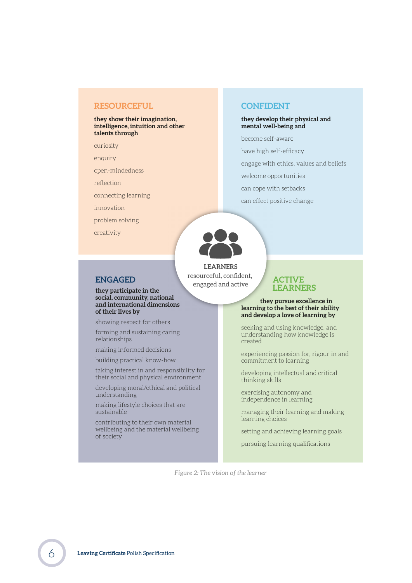#### **RESOURCEFUL**

#### **they show their imagination, intelligence, intuition and other talents through**

curiosity

enquiry

open-mindedness

reflection

connecting learning

**they participate in the social, community, national and international dimensions** 

showing respect for others forming and sustaining caring

making informed decisions building practical know-how

taking interest in and responsibility for their social and physical environment developing moral/ethical and political

making lifestyle choices that are

contributing to their own material wellbeing and the material wellbeing

**of their lives by**

relationships

understanding

sustainable

of society

innovation

problem solving

creativity

## **CONFIDENT**

#### **they develop their physical and mental well-being and**

become self-aware

have high self-efficacy

engage with ethics, values and beliefs

welcome opportunities

- can cope with setbacks
- can effect positive change



**LEARNERS** resourceful, confident, **ENGAGED** resourceful, confident **ENGAGED** 

#### **ACTIVE LEARNERS**

#### **they pursue excellence in learning to the best of their ability and develop a love of learning by**

seeking and using knowledge, and understanding how knowledge is created

experiencing passion for, rigour in and commitment to learning

developing intellectual and critical thinking skills

exercising autonomy and independence in learning

managing their learning and making learning choices

setting and achieving learning goals

pursuing learning qualifications

*Figure 2: The vision of the learner*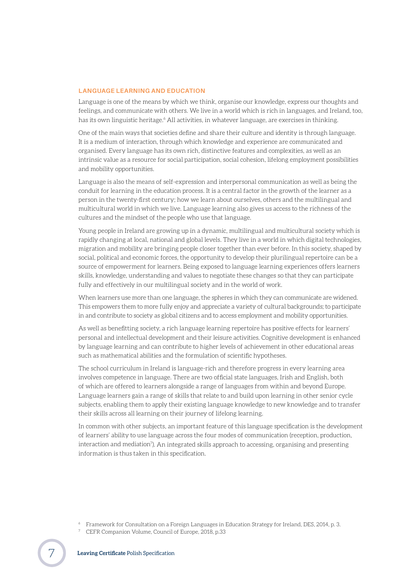#### **LANGUAGE LEARNING AND EDUCATION**

Language is one of the means by which we think, organise our knowledge, express our thoughts and feelings, and communicate with others. We live in a world which is rich in languages, and Ireland, too, has its own linguistic heritage.<sup>6</sup> All activities, in whatever language, are exercises in thinking.

One of the main ways that societies define and share their culture and identity is through language. It is a medium of interaction, through which knowledge and experience are communicated and organised. Every language has its own rich, distinctive features and complexities, as well as an intrinsic value as a resource for social participation, social cohesion, lifelong employment possibilities and mobility opportunities.

Language is also the means of self-expression and interpersonal communication as well as being the conduit for learning in the education process. It is a central factor in the growth of the learner as a person in the twenty-first century; how we learn about ourselves, others and the multilingual and multicultural world in which we live. Language learning also gives us access to the richness of the cultures and the mindset of the people who use that language.

Young people in Ireland are growing up in a dynamic, multilingual and multicultural society which is rapidly changing at local, national and global levels. They live in a world in which digital technologies, migration and mobility are bringing people closer together than ever before. In this society, shaped by social, political and economic forces, the opportunity to develop their plurilingual repertoire can be a source of empowerment for learners. Being exposed to language learning experiences offers learners skills, knowledge, understanding and values to negotiate these changes so that they can participate fully and effectively in our multilingual society and in the world of work.

When learners use more than one language, the spheres in which they can communicate are widened. This empowers them to more fully enjoy and appreciate a variety of cultural backgrounds; to participate in and contribute to society as global citizens and to access employment and mobility opportunities.

As well as benefitting society, a rich language learning repertoire has positive effects for learners' personal and intellectual development and their leisure activities. Cognitive development is enhanced by language learning and can contribute to higher levels of achievement in other educational areas such as mathematical abilities and the formulation of scientific hypotheses.

The school curriculum in Ireland is language-rich and therefore progress in every learning area involves competence in language. There are two official state languages, Irish and English, both of which are offered to learners alongside a range of languages from within and beyond Europe. Language learners gain a range of skills that relate to and build upon learning in other senior cycle subjects, enabling them to apply their existing language knowledge to new knowledge and to transfer their skills across all learning on their journey of lifelong learning.

In common with other subjects, an important feature of this language specification is the development of learners' ability to use language across the four modes of communication (reception, production, interaction and mediation7). An integrated skills approach to accessing, organising and presenting information is thus taken in this specification.

- <sup>6</sup> Framework for Consultation on a Foreign Languages in Education Strategy for Ireland, DES, 2014, p. 3.
- <sup>7</sup> CEFR Companion Volume, Council of Europe, 2018, p.33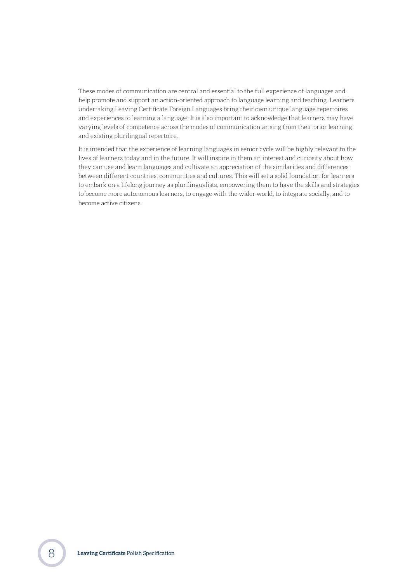These modes of communication are central and essential to the full experience of languages and help promote and support an action-oriented approach to language learning and teaching. Learners undertaking Leaving Certificate Foreign Languages bring their own unique language repertoires and experiences to learning a language. It is also important to acknowledge that learners may have varying levels of competence across the modes of communication arising from their prior learning and existing plurilingual repertoire.

It is intended that the experience of learning languages in senior cycle will be highly relevant to the lives of learners today and in the future. It will inspire in them an interest and curiosity about how they can use and learn languages and cultivate an appreciation of the similarities and differences between different countries, communities and cultures. This will set a solid foundation for learners to embark on a lifelong journey as plurilingualists, empowering them to have the skills and strategies to become more autonomous learners, to engage with the wider world, to integrate socially, and to become active citizens.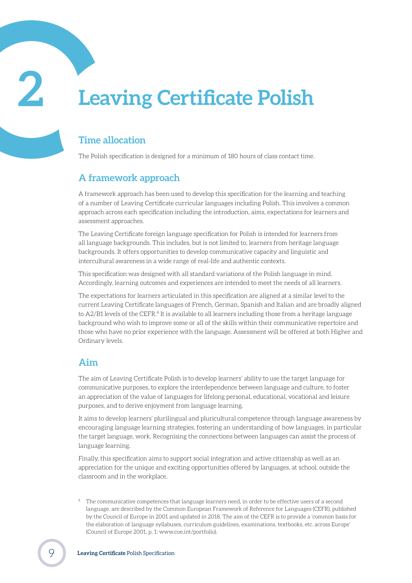## <span id="page-8-0"></span>**2 Leaving Certificate Polish**

## **Time allocation**

The Polish specification is designed for a minimum of 180 hours of class contact time.

## **A framework approach**

A framework approach has been used to develop this specification for the learning and teaching of a number of Leaving Certificate curricular languages including Polish. This involves a common approach across each specification including the introduction, aims, expectations for learners and assessment approaches.

The Leaving Certificate foreign language specification for Polish is intended for learners from all language backgrounds. This includes, but is not limited to, learners from heritage language backgrounds. It offers opportunities to develop communicative capacity and linguistic and intercultural awareness in a wide range of real-life and authentic contexts.

This specification was designed with all standard variations of the Polish language in mind. Accordingly, learning outcomes and experiences are intended to meet the needs of all learners.

The expectations for learners articulated in this specification are aligned at a similar level to the current Leaving Certificate languages of French, German, Spanish and Italian and are broadly aligned to A2/B1 levels of the CEFR.<sup>8</sup> It is available to all learners including those from a heritage language background who wish to improve some or all of the skills within their communicative repertoire and those who have no prior experience with the language. Assessment will be offered at both Higher and Ordinary levels.

## **Aim**

The aim of Leaving Certificate Polish is to develop learners' ability to use the target language for communicative purposes, to explore the interdependence between language and culture, to foster an appreciation of the value of languages for lifelong personal, educational, vocational and leisure purposes, and to derive enjoyment from language learning.

It aims to develop learners' plurilingual and pluricultural competence through language awareness by encouraging language learning strategies, fostering an understanding of how languages, in particular the target language, work. Recognising the connections between languages can assist the process of language learning.

Finally, this specification aims to support social integration and active citizenship as well as an appreciation for the unique and exciting opportunities offered by languages, at school, outside the classroom and in the workplace.

The communicative competences that language learners need, in order to be effective users of a second language, are described by the Common European Framework of Reference for Languages (CEFR), published by the Council of Europe in 2001 and updated in 2018. The aim of the CEFR is to provide a 'common basis for the elaboration of language syllabuses, curriculum guidelines, examinations, textbooks, etc. across Europe' (Council of Europe 2001, p. 1: www.coe.int/portfolio).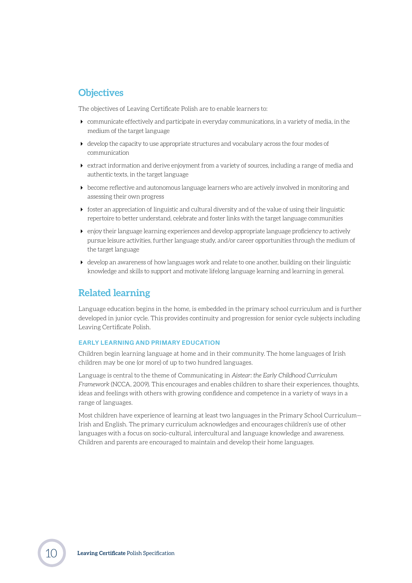## <span id="page-9-0"></span>**Objectives**

The objectives of Leaving Certificate Polish are to enable learners to:

- communicate effectively and participate in everyday communications, in a variety of media, in the medium of the target language
- $\blacktriangleright$  develop the capacity to use appropriate structures and vocabulary across the four modes of communication
- extract information and derive enjoyment from a variety of sources, including a range of media and authentic texts, in the target language
- $\rightarrow$  become reflective and autonomous language learners who are actively involved in monitoring and assessing their own progress
- $\triangleright$  foster an appreciation of linguistic and cultural diversity and of the value of using their linguistic repertoire to better understand, celebrate and foster links with the target language communities
- enjoy their language learning experiences and develop appropriate language proficiency to actively pursue leisure activities, further language study, and/or career opportunities through the medium of the target language
- develop an awareness of how languages work and relate to one another, building on their linguistic knowledge and skills to support and motivate lifelong language learning and learning in general.

### **Related learning**

Language education begins in the home, is embedded in the primary school curriculum and is further developed in junior cycle. This provides continuity and progression for senior cycle subjects including Leaving Certificate Polish.

#### **EARLY LEARNING AND PRIMARY EDUCATION**

Children begin learning language at home and in their community. The home languages of Irish children may be one (or more) of up to two hundred languages.

Language is central to the theme of Communicating in *Aistear: the Early Childhood Curriculum Framework* (NCCA, 2009). This encourages and enables children to share their experiences, thoughts, ideas and feelings with others with growing confidence and competence in a variety of ways in a range of languages.

Most children have experience of learning at least two languages in the Primary School Curriculum— Irish and English. The primary curriculum acknowledges and encourages children's use of other languages with a focus on socio-cultural, intercultural and language knowledge and awareness. Children and parents are encouraged to maintain and develop their home languages.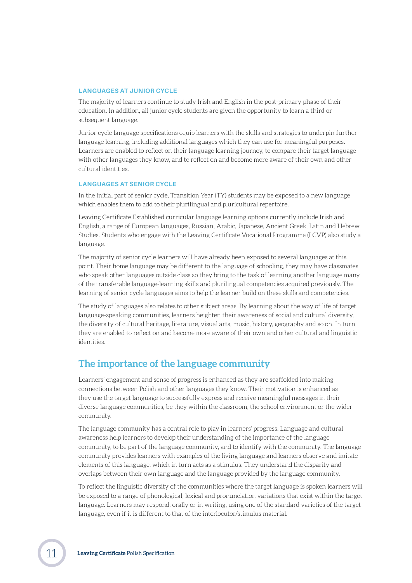#### <span id="page-10-0"></span>**LANGUAGES AT JUNIOR CYCLE**

The majority of learners continue to study Irish and English in the post-primary phase of their education. In addition, all junior cycle students are given the opportunity to learn a third or subsequent language.

Junior cycle language specifications equip learners with the skills and strategies to underpin further language learning, including additional languages which they can use for meaningful purposes. Learners are enabled to reflect on their language learning journey, to compare their target language with other languages they know, and to reflect on and become more aware of their own and other cultural identities.

#### **LANGUAGES AT SENIOR CYCLE**

In the initial part of senior cycle, Transition Year (TY) students may be exposed to a new language which enables them to add to their plurilingual and pluricultural repertoire.

Leaving Certificate Established curricular language learning options currently include Irish and English, a range of European languages, Russian, Arabic, Japanese, Ancient Greek, Latin and Hebrew Studies. Students who engage with the Leaving Certificate Vocational Programme (LCVP) also study a language.

The majority of senior cycle learners will have already been exposed to several languages at this point. Their home language may be different to the language of schooling, they may have classmates who speak other languages outside class so they bring to the task of learning another language many of the transferable language-learning skills and plurilingual competencies acquired previously. The learning of senior cycle languages aims to help the learner build on these skills and competencies.

The study of languages also relates to other subject areas. By learning about the way of life of target language-speaking communities, learners heighten their awareness of social and cultural diversity, the diversity of cultural heritage, literature, visual arts, music, history, geography and so on. In turn, they are enabled to reflect on and become more aware of their own and other cultural and linguistic identities.

### **The importance of the language community**

Learners' engagement and sense of progress is enhanced as they are scaffolded into making connections between Polish and other languages they know. Their motivation is enhanced as they use the target language to successfully express and receive meaningful messages in their diverse language communities, be they within the classroom, the school environment or the wider community.

The language community has a central role to play in learners' progress. Language and cultural awareness help learners to develop their understanding of the importance of the language community, to be part of the language community, and to identify with the community. The language community provides learners with examples of the living language and learners observe and imitate elements of this language, which in turn acts as a stimulus. They understand the disparity and overlaps between their own language and the language provided by the language community.

To reflect the linguistic diversity of the communities where the target language is spoken learners will be exposed to a range of phonological, lexical and pronunciation variations that exist within the target language. Learners may respond, orally or in writing, using one of the standard varieties of the target language, even if it is different to that of the interlocutor/stimulus material.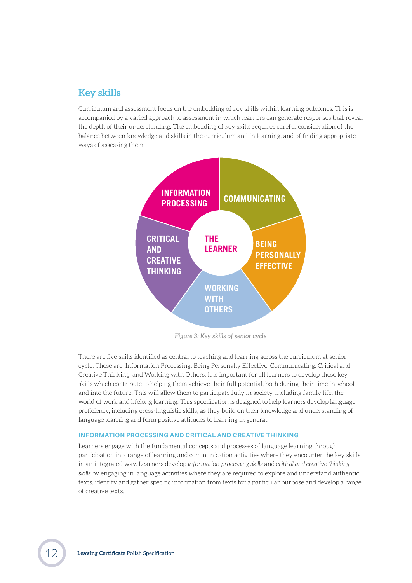### <span id="page-11-0"></span>**Key skills**

Curriculum and assessment focus on the embedding of key skills within learning outcomes. This is accompanied by a varied approach to assessment in which learners can generate responses that reveal the depth of their understanding. The embedding of key skills requires careful consideration of the balance between knowledge and skills in the curriculum and in learning, and of finding appropriate ways of assessing them.



*Figure 3: Key skills of senior cycle*

There are five skills identified as central to teaching and learning across the curriculum at senior cycle. These are: Information Processing; Being Personally Effective; Communicating; Critical and Creative Thinking; and Working with Others. It is important for all learners to develop these key skills which contribute to helping them achieve their full potential, both during their time in school and into the future. This will allow them to participate fully in society, including family life, the world of work and lifelong learning. This specification is designed to help learners develop language proficiency, including cross-linguistic skills, as they build on their knowledge and understanding of language learning and form positive attitudes to learning in general.

#### **INFORMATION PROCESSING AND CRITICAL AND CREATIVE THINKING**

Learners engage with the fundamental concepts and processes of language learning through participation in a range of learning and communication activities where they encounter the key skills in an integrated way. Learners develop *information processing skills* and *critical and creative thinking skills* by engaging in language activities where they are required to explore and understand authentic texts, identify and gather specific information from texts for a particular purpose and develop a range of creative texts.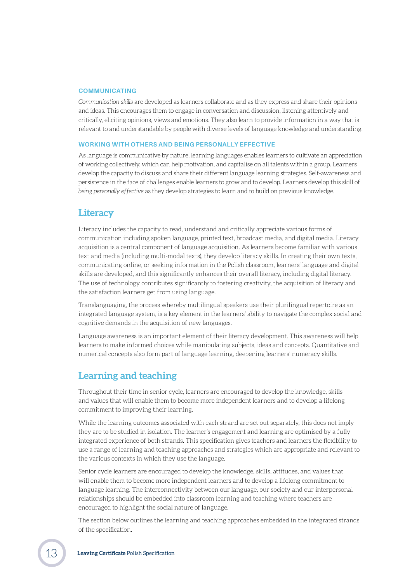#### <span id="page-12-0"></span>**COMMUNICATING**

*Communication skills* are developed as learners collaborate and as they express and share their opinions and ideas. This encourages them to engage in conversation and discussion, listening attentively and critically, eliciting opinions, views and emotions. They also learn to provide information in a way that is relevant to and understandable by people with diverse levels of language knowledge and understanding.

#### **WORKING WITH OTHERS AND BEING PERSONALLY EFFECTIVE**

As language is communicative by nature, learning languages enables learners to cultivate an appreciation of working collectively*,* which can help motivation, and capitalise on all talents within a group. Learners develop the capacity to discuss and share their different language learning strategies. Self-awareness and persistence in the face of challenges enable learners to grow and to develop. Learners develop this skill of *being personally effective* as they develop strategies to learn and to build on previous knowledge.

#### **Literacy**

Literacy includes the capacity to read, understand and critically appreciate various forms of communication including spoken language, printed text, broadcast media, and digital media. Literacy acquisition is a central component of language acquisition. As learners become familiar with various text and media (including multi-modal texts), they develop literacy skills. In creating their own texts, communicating online, or seeking information in the Polish classroom, learners' language and digital skills are developed, and this significantly enhances their overall literacy, including digital literacy. The use of technology contributes significantly to fostering creativity, the acquisition of literacy and the satisfaction learners get from using language.

Translanguaging, the process whereby multilingual speakers use their plurilingual repertoire as an integrated language system, is a key element in the learners' ability to navigate the complex social and cognitive demands in the acquisition of new languages.

Language awareness is an important element of their literacy development. This awareness will help learners to make informed choices while manipulating subjects, ideas and concepts. Quantitative and numerical concepts also form part of language learning, deepening learners' numeracy skills.

### **Learning and teaching**

Throughout their time in senior cycle, learners are encouraged to develop the knowledge, skills and values that will enable them to become more independent learners and to develop a lifelong commitment to improving their learning.

While the learning outcomes associated with each strand are set out separately, this does not imply they are to be studied in isolation. The learner's engagement and learning are optimised by a fully integrated experience of both strands. This specification gives teachers and learners the flexibility to use a range of learning and teaching approaches and strategies which are appropriate and relevant to the various contexts in which they use the language.

Senior cycle learners are encouraged to develop the knowledge, skills, attitudes, and values that will enable them to become more independent learners and to develop a lifelong commitment to language learning. The interconnectivity between our language, our society and our interpersonal relationships should be embedded into classroom learning and teaching where teachers are encouraged to highlight the social nature of language.

The section below outlines the learning and teaching approaches embedded in the integrated strands of the specification.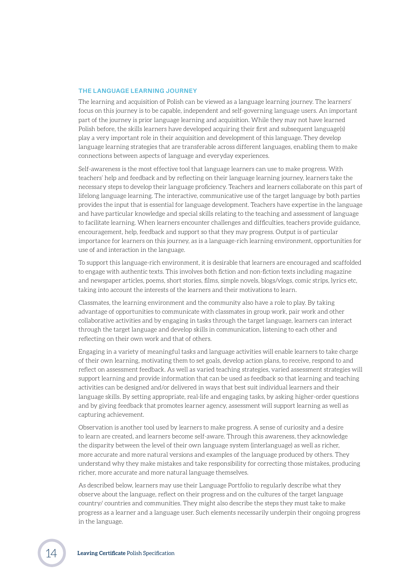#### **THE LANGUAGE LEARNING JOURNEY**

The learning and acquisition of Polish can be viewed as a language learning journey. The learners' focus on this journey is to be capable, independent and self-governing language users. An important part of the journey is prior language learning and acquisition. While they may not have learned Polish before, the skills learners have developed acquiring their first and subsequent language(s) play a very important role in their acquisition and development of this language. They develop language learning strategies that are transferable across different languages, enabling them to make connections between aspects of language and everyday experiences.

Self-awareness is the most effective tool that language learners can use to make progress. With teachers' help and feedback and by reflecting on their language learning journey, learners take the necessary steps to develop their language proficiency. Teachers and learners collaborate on this part of lifelong language learning. The interactive, communicative use of the target language by both parties provides the input that is essential for language development. Teachers have expertise in the language and have particular knowledge and special skills relating to the teaching and assessment of language to facilitate learning. When learners encounter challenges and difficulties, teachers provide guidance, encouragement, help, feedback and support so that they may progress. Output is of particular importance for learners on this journey, as is a language-rich learning environment, opportunities for use of and interaction in the language.

To support this language-rich environment, it is desirable that learners are encouraged and scaffolded to engage with authentic texts. This involves both fiction and non-fiction texts including magazine and newspaper articles, poems, short stories, films, simple novels, blogs/vlogs, comic strips, lyrics etc, taking into account the interests of the learners and their motivations to learn.

Classmates, the learning environment and the community also have a role to play. By taking advantage of opportunities to communicate with classmates in group work, pair work and other collaborative activities and by engaging in tasks through the target language, learners can interact through the target language and develop skills in communication, listening to each other and reflecting on their own work and that of others.

Engaging in a variety of meaningful tasks and language activities will enable learners to take charge of their own learning, motivating them to set goals, develop action plans, to receive, respond to and reflect on assessment feedback. As well as varied teaching strategies, varied assessment strategies will support learning and provide information that can be used as feedback so that learning and teaching activities can be designed and/or delivered in ways that best suit individual learners and their language skills. By setting appropriate, real-life and engaging tasks, by asking higher-order questions and by giving feedback that promotes learner agency, assessment will support learning as well as capturing achievement.

Observation is another tool used by learners to make progress. A sense of curiosity and a desire to learn are created, and learners become self-aware. Through this awareness, they acknowledge the disparity between the level of their own language system (interlanguage) as well as richer, more accurate and more natural versions and examples of the language produced by others. They understand why they make mistakes and take responsibility for correcting those mistakes, producing richer, more accurate and more natural language themselves.

As described below, learners may use their Language Portfolio to regularly describe what they observe about the language, reflect on their progress and on the cultures of the target language country/ countries and communities. They might also describe the steps they must take to make progress as a learner and a language user. Such elements necessarily underpin their ongoing progress in the language.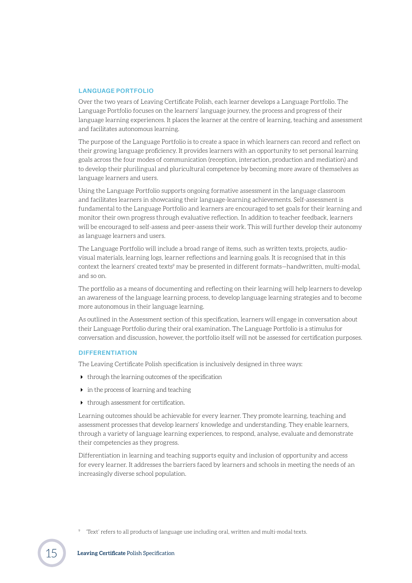#### **LANGUAGE PORTFOLIO**

Over the two years of Leaving Certificate Polish, each learner develops a Language Portfolio. The Language Portfolio focuses on the learners' language journey, the process and progress of their language learning experiences. It places the learner at the centre of learning, teaching and assessment and facilitates autonomous learning.

The purpose of the Language Portfolio is to create a space in which learners can record and reflect on their growing language proficiency. It provides learners with an opportunity to set personal learning goals across the four modes of communication (reception, interaction, production and mediation) and to develop their plurilingual and pluricultural competence by becoming more aware of themselves as language learners and users.

Using the Language Portfolio supports ongoing formative assessment in the language classroom and facilitates learners in showcasing their language-learning achievements. Self-assessment is fundamental to the Language Portfolio and learners are encouraged to set goals for their learning and monitor their own progress through evaluative reflection. In addition to teacher feedback, learners will be encouraged to self-assess and peer-assess their work. This will further develop their autonomy as language learners and users.

The Language Portfolio will include a broad range of items, such as written texts, projects, audiovisual materials, learning logs, learner reflections and learning goals. It is recognised that in this context the learners' created texts<sup>9</sup> may be presented in different formats—handwritten, multi-modal, and so on.

The portfolio as a means of documenting and reflecting on their learning will help learners to develop an awareness of the language learning process, to develop language learning strategies and to become more autonomous in their language learning.

As outlined in the Assessment section of this specification, learners will engage in conversation about their Language Portfolio during their oral examination. The Language Portfolio is a stimulus for conversation and discussion, however, the portfolio itself will not be assessed for certification purposes.

#### **DIFFERENTIATION**

The Leaving Certificate Polish specification is inclusively designed in three ways:

- $\blacktriangleright$  through the learning outcomes of the specification
- $\triangleright$  in the process of learning and teaching
- $\blacktriangleright$  through assessment for certification.

Learning outcomes should be achievable for every learner. They promote learning, teaching and assessment processes that develop learners' knowledge and understanding. They enable learners, through a variety of language learning experiences, to respond, analyse, evaluate and demonstrate their competencies as they progress.

Differentiation in learning and teaching supports equity and inclusion of opportunity and access for every learner. It addresses the barriers faced by learners and schools in meeting the needs of an increasingly diverse school population.

<sup>9</sup> 'Text' refers to all products of language use including oral, written and multi-modal texts.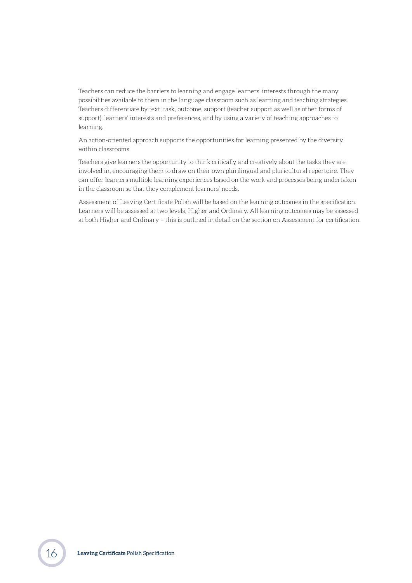Teachers can reduce the barriers to learning and engage learners' interests through the many possibilities available to them in the language classroom such as learning and teaching strategies. Teachers differentiate by text, task, outcome, support (teacher support as well as other forms of support), learners' interests and preferences, and by using a variety of teaching approaches to learning.

An action-oriented approach supports the opportunities for learning presented by the diversity within classrooms.

Teachers give learners the opportunity to think critically and creatively about the tasks they are involved in, encouraging them to draw on their own plurilingual and pluricultural repertoire. They can offer learners multiple learning experiences based on the work and processes being undertaken in the classroom so that they complement learners' needs.

Assessment of Leaving Certificate Polish will be based on the learning outcomes in the specification. Learners will be assessed at two levels, Higher and Ordinary. All learning outcomes may be assessed at both Higher and Ordinary – this is outlined in detail on the section on Assessment for certification.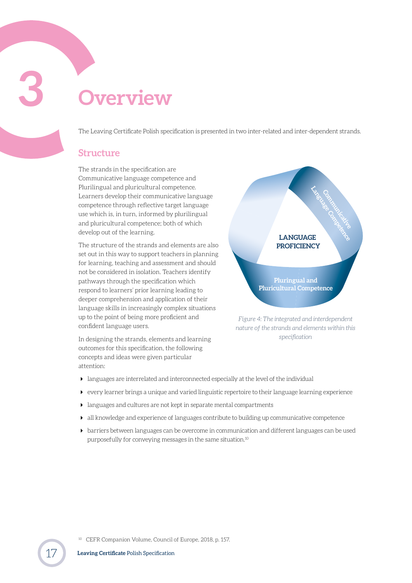<span id="page-16-0"></span>**3 Overview**

The Leaving Certificate Polish specification is presented in two inter-related and inter-dependent strands.

#### **Structure**

The strands in the specification are Communicative language competence and Plurilingual and pluricultural competence. Learners develop their communicative language competence through reflective target language use which is, in turn, informed by plurilingual and pluricultural competence; both of which develop out of the learning.

The structure of the strands and elements are also set out in this way to support teachers in planning for learning, teaching and assessment and should not be considered in isolation. Teachers identify pathways through the specification which respond to learners' prior learning leading to deeper comprehension and application of their language skills in increasingly complex situations up to the point of being more proficient and confident language users.

In designing the strands, elements and learning outcomes for this specification, the following concepts and ideas were given particular attention:



*nature of the strands and elements within this specification*

- languages are interrelated and interconnected especially at the level of the individual
- $\rightarrow$  every learner brings a unique and varied linguistic repertoire to their language learning experience
- languages and cultures are not kept in separate mental compartments
- all knowledge and experience of languages contribute to building up communicative competence
- barriers between languages can be overcome in communication and different languages can be used purposefully for conveying messages in the same situation.10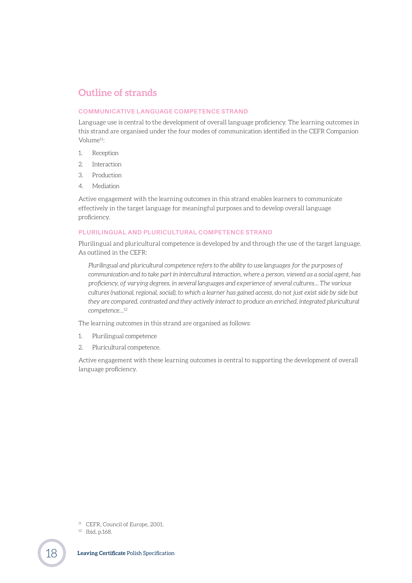## <span id="page-17-0"></span>**Outline of strands**

#### **COMMUNICATIVE LANGUAGE COMPETENCE STRAND**

Language use is central to the development of overall language proficiency. The learning outcomes in this strand are organised under the four modes of communication identified in the CEFR Companion Volume11:

- 1. Reception
- 2. Interaction
- 3. Production
- 4. Mediation

Active engagement with the learning outcomes in this strand enables learners to communicate effectively in the target language for meaningful purposes and to develop overall language proficiency.

#### **PLURILINGUAL AND PLURICULTURAL COMPETENCE STRAND**

Plurilingual and pluricultural competence is developed by and through the use of the target language. As outlined in the CEFR:

*Plurilingual and pluricultural competence refers to the ability to use languages for the purposes of communication and to take part in intercultural interaction, where a person, viewed as a social agent, has proficiency, of varying degrees, in several languages and experience of several cultures… The various cultures (national, regional, social), to which a learner has gained access, do not just exist side by side but*  they are compared, contrasted and they actively interact to produce an enriched, integrated pluricultural *competence…12*

The learning outcomes in this strand are organised as follows:

- 1. Plurilingual competence
- 2. Pluricultural competence.

Active engagement with these learning outcomes is central to supporting the development of overall language proficiency.

<sup>11</sup> CEFR, Council of Europe, 2001.

<sup>12</sup> Ibid, p.168.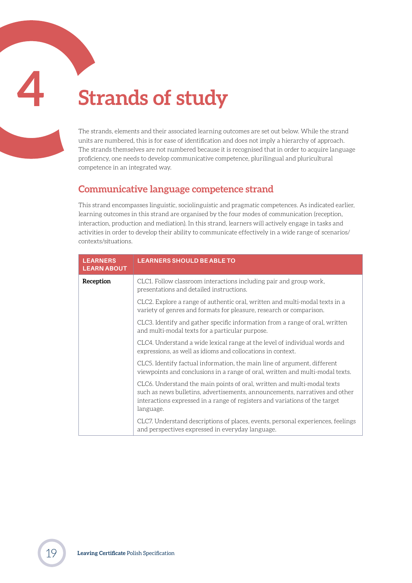## <span id="page-18-1"></span><span id="page-18-0"></span>**4 Strands of study**

The strands, elements and their associated learning outcomes are set out below. While the strand units are numbered, this is for ease of identification and does not imply a hierarchy of approach. The strands themselves are not numbered because it is recognised that in order to acquire language proficiency, one needs to develop communicative competence, plurilingual and pluricultural competence in an integrated way.

### **Communicative language competence strand**

This strand encompasses linguistic, sociolinguistic and pragmatic competences. As indicated earlier, learning outcomes in this strand are organised by the four modes of communication (reception, interaction, production and mediation). In this strand, learners will actively engage in tasks and activities in order to develop their ability to communicate effectively in a wide range of scenarios/ contexts/situations.

| <b>LEARNERS</b><br><b>LEARN ABOUT</b> | <b>LEARNERS SHOULD BE ABLE TO</b>                                                                                                                                                                                                                  |
|---------------------------------------|----------------------------------------------------------------------------------------------------------------------------------------------------------------------------------------------------------------------------------------------------|
| Reception                             | CLC1. Follow classroom interactions including pair and group work,<br>presentations and detailed instructions.                                                                                                                                     |
|                                       | CLC2. Explore a range of authentic oral, written and multi-modal texts in a<br>variety of genres and formats for pleasure, research or comparison.                                                                                                 |
|                                       | CLC3. Identify and gather specific information from a range of oral, written<br>and multi-modal texts for a particular purpose.                                                                                                                    |
|                                       | CLC4. Understand a wide lexical range at the level of individual words and<br>expressions, as well as idioms and collocations in context.                                                                                                          |
|                                       | CLC5. Identify factual information, the main line of argument, different<br>viewpoints and conclusions in a range of oral, written and multi-modal texts.                                                                                          |
|                                       | CLC6. Understand the main points of oral, written and multi-modal texts<br>such as news bulletins, advertisements, announcements, narratives and other<br>interactions expressed in a range of registers and variations of the target<br>language. |
|                                       | CLC7. Understand descriptions of places, events, personal experiences, feelings<br>and perspectives expressed in everyday language.                                                                                                                |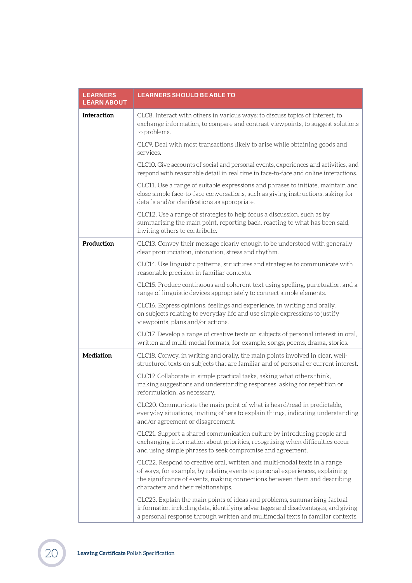| <b>LEARNERS</b><br><b>LEARN ABOUT</b> | <b>LEARNERS SHOULD BE ABLE TO</b>                                                                                                                                                                                                                                              |
|---------------------------------------|--------------------------------------------------------------------------------------------------------------------------------------------------------------------------------------------------------------------------------------------------------------------------------|
| Interaction                           | CLC8. Interact with others in various ways: to discuss topics of interest, to<br>exchange information, to compare and contrast viewpoints, to suggest solutions<br>to problems.                                                                                                |
|                                       | CLC9. Deal with most transactions likely to arise while obtaining goods and<br>services.                                                                                                                                                                                       |
|                                       | CLC10. Give accounts of social and personal events, experiences and activities, and<br>respond with reasonable detail in real time in face-to-face and online interactions.                                                                                                    |
|                                       | CLC11. Use a range of suitable expressions and phrases to initiate, maintain and<br>close simple face-to-face conversations, such as giving instructions, asking for<br>details and/or clarifications as appropriate.                                                          |
|                                       | CLC12. Use a range of strategies to help focus a discussion, such as by<br>summarising the main point, reporting back, reacting to what has been said,<br>inviting others to contribute.                                                                                       |
| Production                            | CLC13. Convey their message clearly enough to be understood with generally<br>clear pronunciation, intonation, stress and rhythm.                                                                                                                                              |
|                                       | CLC14. Use linguistic patterns, structures and strategies to communicate with<br>reasonable precision in familiar contexts.                                                                                                                                                    |
|                                       | CLC15. Produce continuous and coherent text using spelling, punctuation and a<br>range of linguistic devices appropriately to connect simple elements.                                                                                                                         |
|                                       | CLC16. Express opinions, feelings and experience, in writing and orally,<br>on subjects relating to everyday life and use simple expressions to justify<br>viewpoints, plans and/or actions.                                                                                   |
|                                       | CLC17. Develop a range of creative texts on subjects of personal interest in oral,<br>written and multi-modal formats, for example, songs, poems, drama, stories.                                                                                                              |
| Mediation                             | CLC18. Convey, in writing and orally, the main points involved in clear, well-<br>structured texts on subjects that are familiar and of personal or current interest.                                                                                                          |
|                                       | CLC19. Collaborate in simple practical tasks, asking what others think,<br>making suggestions and understanding responses, asking for repetition or<br>reformulation, as necessary.                                                                                            |
|                                       | CLC20. Communicate the main point of what is heard/read in predictable,<br>everyday situations, inviting others to explain things, indicating understanding<br>and/or agreement or disagreement.                                                                               |
|                                       | CLC21. Support a shared communication culture by introducing people and<br>exchanging information about priorities, recognising when difficulties occur<br>and using simple phrases to seek compromise and agreement.                                                          |
|                                       | CLC22. Respond to creative oral, written and multi-modal texts in a range<br>of ways, for example, by relating events to personal experiences, explaining<br>the significance of events, making connections between them and describing<br>characters and their relationships. |
|                                       | CLC23. Explain the main points of ideas and problems, summarising factual<br>information including data, identifying advantages and disadvantages, and giving<br>a personal response through written and multimodal texts in familiar contexts.                                |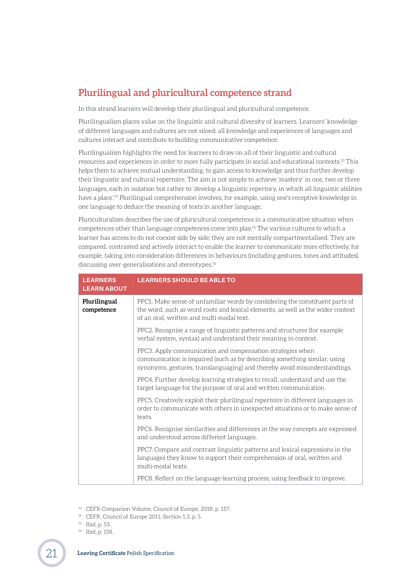## <span id="page-20-0"></span>**Plurilingual and pluricultural competence strand**

In this strand learners will develop their plurilingual and pluricultural competence.

Plurilingualism places value on the linguistic and cultural diversity of learners. Learners' knowledge of different languages and cultures are not siloed; all knowledge and experiences of languages and cultures interact and contribute to building communicative competence.

Plurilingualism highlights the need for learners to draw on all of their linguistic and cultural resources and experiences in order to more fully participate in social and educational contexts.13 This helps them to achieve mutual understanding, to gain access to knowledge and thus further develop their linguistic and cultural repertoire. The aim is not simply to achieve 'mastery' in one, two or three languages, each in isolation but rather to 'develop a linguistic repertory, in which all linguistic abilities have a place'.14 Plurilingual comprehension involves, for example, using one's receptive knowledge in one language to deduce the meaning of texts in another language.

Pluriculturalism describes the use of pluricultural competences in a communicative situation when competences other than language competences come into play.15 The various cultures to which a learner has access to do not coexist side by side; they are not mentally compartmentalised. They are compared, contrasted and actively interact to enable the learner to communicate more effectively, for example, taking into consideration differences in behaviours (including gestures, tones and attitudes), discussing over-generalisations and stereotypes.16

| <b>LEARNERS</b><br><b>LEARN ABOUT</b> | <b>LEARNERS SHOULD BE ABLE TO</b>                                                                                                                                                                                    |
|---------------------------------------|----------------------------------------------------------------------------------------------------------------------------------------------------------------------------------------------------------------------|
| Plurilingual<br>competence            | PPC1. Make sense of unfamiliar words by considering the constituent parts of<br>the word, such as word roots and lexical elements, as well as the wider context<br>of an oral, written and multi-modal text.         |
|                                       | PPC2. Recognise a range of linguistic patterns and structures (for example<br>verbal system, syntax) and understand their meaning in context.                                                                        |
|                                       | PPC3. Apply communication and compensation strategies when<br>communication is impaired (such as by describing something similar, using<br>synonyms, gestures, translanguaging) and thereby avoid misunderstandings. |
|                                       | PPC4. Further develop learning strategies to recall, understand and use the<br>target language for the purpose of oral and written communication.                                                                    |
|                                       | PPC5. Creatively exploit their plurilingual repertoire in different languages in<br>order to communicate with others in unexpected situations or to make sense of<br>texts.                                          |
|                                       | PPC6. Recognise similarities and differences in the way concepts are expressed<br>and understood across different languages.                                                                                         |
|                                       | PPC7. Compare and contrast linguistic patterns and lexical expressions in the<br>languages they know to support their comprehension of oral, written and<br>multi-modal texts.                                       |
|                                       | PPC8. Reflect on the language-learning process, using feedback to improve.                                                                                                                                           |

<sup>13</sup> CEFR Companion Volume, Council of Europe, 2018, p. 157.

<sup>14</sup> CEFR, Council of Europe 2011, Section 1.3, p. 5.

<sup>15</sup> Ibid, p. 53.

<sup>16</sup> Ibid, p. 158.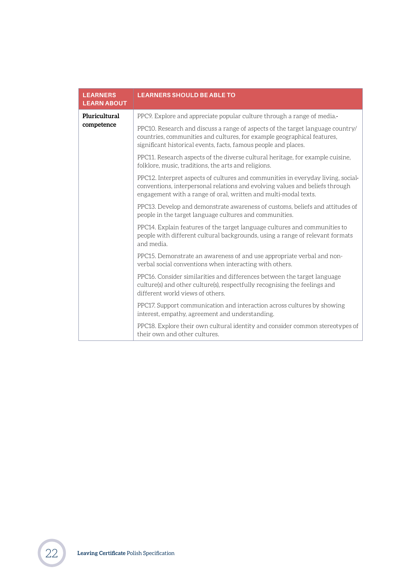<span id="page-21-0"></span>

| <b>LEARNERS</b><br><b>LEARN ABOUT</b> | <b>LEARNERS SHOULD BE ABLE TO</b>                                                                                                                                                                                                   |
|---------------------------------------|-------------------------------------------------------------------------------------------------------------------------------------------------------------------------------------------------------------------------------------|
| Pluricultural                         | PPC9. Explore and appreciate popular culture through a range of media.-                                                                                                                                                             |
| competence                            | PPC10. Research and discuss a range of aspects of the target language country/<br>countries, communities and cultures, for example geographical features,<br>significant historical events, facts, famous people and places.        |
|                                       | PPC11. Research aspects of the diverse cultural heritage, for example cuisine,<br>folklore, music, traditions, the arts and religions.                                                                                              |
|                                       | PPC12. Interpret aspects of cultures and communities in everyday living, social-<br>conventions, interpersonal relations and evolving values and beliefs through<br>engagement with a range of oral, written and multi-modal texts. |
|                                       | PPC13. Develop and demonstrate awareness of customs, beliefs and attitudes of<br>people in the target language cultures and communities.                                                                                            |
|                                       | PPC14. Explain features of the target language cultures and communities to<br>people with different cultural backgrounds, using a range of relevant formats<br>and media.                                                           |
|                                       | PPC15. Demonstrate an awareness of and use appropriate verbal and non-<br>verbal social conventions when interacting with others.                                                                                                   |
|                                       | PPC16. Consider similarities and differences between the target language<br>culture(s) and other culture(s), respectfully recognising the feelings and<br>different world views of others.                                          |
|                                       | PPC17. Support communication and interaction across cultures by showing<br>interest, empathy, agreement and understanding.                                                                                                          |
|                                       | PPC18. Explore their own cultural identity and consider common stereotypes of<br>their own and other cultures.                                                                                                                      |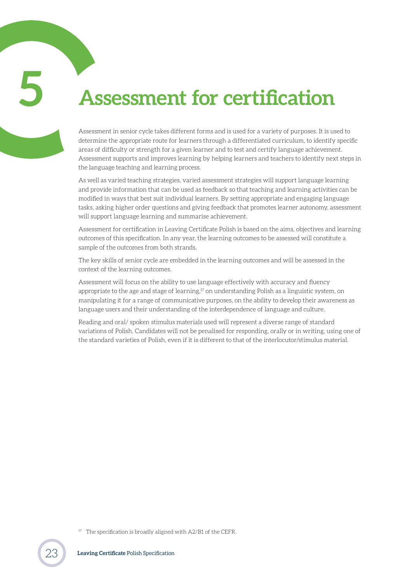## **5 Assessment for certification**

<span id="page-22-0"></span>

Assessment in senior cycle takes different forms and is used for a variety of purposes. It is used to determine the appropriate route for learners through a differentiated curriculum, to identify specific areas of difficulty or strength for a given learner and to test and certify language achievement. Assessment supports and improves learning by helping learners and teachers to identify next steps in the language teaching and learning process.

As well as varied teaching strategies, varied assessment strategies will support language learning and provide information that can be used as feedback so that teaching and learning activities can be modified in ways that best suit individual learners. By setting appropriate and engaging language tasks, asking higher order questions and giving feedback that promotes learner autonomy, assessment will support language learning and summarise achievement.

Assessment for certification in Leaving Certificate Polish is based on the aims, objectives and learning outcomes of this specification. In any year, the learning outcomes to be assessed will constitute a sample of the outcomes from both strands.

The key skills of senior cycle are embedded in the learning outcomes and will be assessed in the context of the learning outcomes.

Assessment will focus on the ability to use language effectively with accuracy and fluency appropriate to the age and stage of learning, $17$  on understanding Polish as a linguistic system, on manipulating it for a range of communicative purposes, on the ability to develop their awareness as language users and their understanding of the interdependence of language and culture.

Reading and oral/ spoken stimulus materials used will represent a diverse range of standard variations of Polish. Candidates will not be penalised for responding, orally or in writing, using one of the standard varieties of Polish, even if it is different to that of the interlocutor/stimulus material.

<sup>&</sup>lt;sup>17</sup> The specification is broadly aligned with A2/B1 of the CEFR.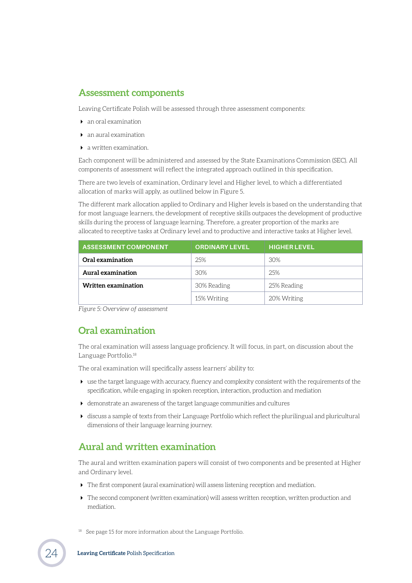## <span id="page-23-0"></span>**Assessment components**

Leaving Certificate Polish will be assessed through three assessment components:

- an oral examination
- an aural examination
- a written examination.

Each component will be administered and assessed by the State Examinations Commission (SEC). All components of assessment will reflect the integrated approach outlined in this specification.

There are two levels of examination, Ordinary level and Higher level, to which a differentiated allocation of marks will apply, as outlined below in Figure 5.

The different mark allocation applied to Ordinary and Higher levels is based on the understanding that for most language learners, the development of receptive skills outpaces the development of productive skills during the process of language learning. Therefore, a greater proportion of the marks are allocated to receptive tasks at Ordinary level and to productive and interactive tasks at Higher level.

| <b>ASSESSMENT COMPONENT</b> | <b>ORDINARY LEVEL</b> | <b>HIGHER LEVEL</b> |
|-----------------------------|-----------------------|---------------------|
| Oral examination            | 2.5%                  | 30%                 |
| Aural examination           | 30%                   | 2.5%                |
| Written examination         | 30% Reading           | 25% Reading         |
|                             | 15% Writing           | 20% Writing         |

*Figure 5: Overview of assessment*

## **Oral examination**

The oral examination will assess language proficiency. It will focus, in part, on discussion about the Language Portfolio.18

The oral examination will specifically assess learners' ability to:

- use the target language with accuracy, fluency and complexity consistent with the requirements of the specification, while engaging in spoken reception, interaction, production and mediation
- demonstrate an awareness of the target language communities and cultures
- discuss a sample of texts from their Language Portfolio which reflect the plurilingual and pluricultural dimensions of their language learning journey.

## **Aural and written examination**

The aural and written examination papers will consist of two components and be presented at Higher and Ordinary level.

- The first component (aural examination) will assess listening reception and mediation.
- The second component (written examination) will assess written reception, written production and mediation.
- <sup>18</sup> See page 15 for more information about the Language Portfolio.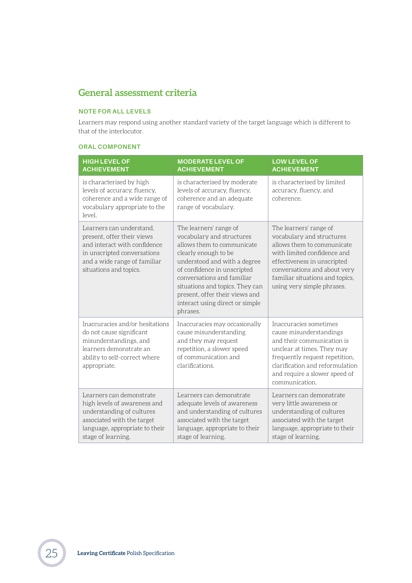## <span id="page-24-0"></span>**General assessment criteria**

#### **NOTE FOR ALL LEVELS**

Learners may respond using another standard variety of the target language which is different to that of the interlocutor.

#### **ORAL COMPONENT**

| <b>HIGH LEVEL OF</b><br><b>ACHIEVEMENT</b>                                                                                                                                      | <b>MODERATE LEVEL OF</b><br><b>ACHIEVEMENT</b>                                                                                                                                                                                                                                                                             | <b>LOW LEVEL OF</b><br><b>ACHIEVEMENT</b>                                                                                                                                                                                                        |
|---------------------------------------------------------------------------------------------------------------------------------------------------------------------------------|----------------------------------------------------------------------------------------------------------------------------------------------------------------------------------------------------------------------------------------------------------------------------------------------------------------------------|--------------------------------------------------------------------------------------------------------------------------------------------------------------------------------------------------------------------------------------------------|
| is characterised by high<br>levels of accuracy, fluency,<br>coherence and a wide range of<br>vocabulary appropriate to the<br>level.                                            | is characterised by moderate<br>levels of accuracy, fluency,<br>coherence and an adequate<br>range of vocabulary.                                                                                                                                                                                                          | is characterised by limited<br>accuracy, fluency, and<br>coherence.                                                                                                                                                                              |
| Learners can understand,<br>present, offer their views<br>and interact with confidence<br>in unscripted conversations<br>and a wide range of familiar<br>situations and topics. | The learners' range of<br>vocabulary and structures<br>allows them to communicate<br>clearly enough to be<br>understood and with a degree<br>of confidence in unscripted<br>conversations and familiar<br>situations and topics. They can<br>present, offer their views and<br>interact using direct or simple<br>phrases. | The learners' range of<br>vocabulary and structures<br>allows them to communicate<br>with limited confidence and<br>effectiveness in unscripted<br>conversations and about very<br>familiar situations and topics,<br>using very simple phrases. |
| Inaccuracies and/or hesitations<br>do not cause significant<br>misunderstandings, and<br>learners demonstrate an<br>ability to self-correct where<br>appropriate.               | Inaccuracies may occasionally<br>cause misunderstanding<br>and they may request<br>repetition, a slower speed<br>of communication and<br>clarifications.                                                                                                                                                                   | Inaccuracies sometimes<br>cause misunderstandings<br>and their communication is<br>unclear at times. They may<br>frequently request repetition,<br>clarification and reformulation<br>and require a slower speed of<br>communication.            |
| Learners can demonstrate<br>high levels of awareness and<br>understanding of cultures<br>associated with the target<br>language, appropriate to their<br>stage of learning.     | Learners can demonstrate<br>adequate levels of awareness<br>and understanding of cultures<br>associated with the target<br>language, appropriate to their<br>stage of learning.                                                                                                                                            | Learners can demonstrate<br>very little awareness or<br>understanding of cultures<br>associated with the target<br>language, appropriate to their<br>stage of learning.                                                                          |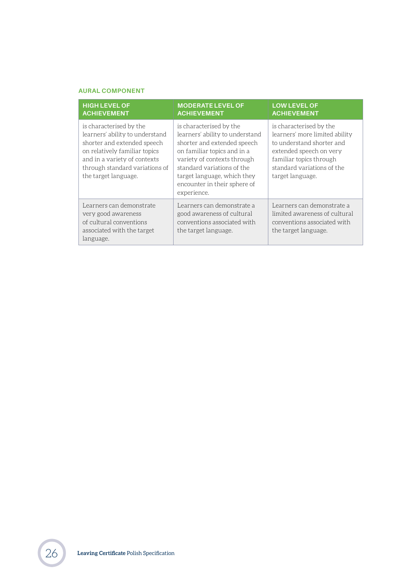#### **AURAL COMPONENT**

| <b>HIGH LEVEL OF</b><br><b>ACHIEVEMENT</b>                                                                                                                                                                           | <b>MODERATE LEVEL OF</b><br><b>ACHIEVEMENT</b>                                                                                                                                                                                                                      | <b>LOW LEVEL OF</b><br><b>ACHIEVEMENT</b>                                                                                                                                                      |
|----------------------------------------------------------------------------------------------------------------------------------------------------------------------------------------------------------------------|---------------------------------------------------------------------------------------------------------------------------------------------------------------------------------------------------------------------------------------------------------------------|------------------------------------------------------------------------------------------------------------------------------------------------------------------------------------------------|
| is characterised by the<br>learners' ability to understand<br>shorter and extended speech<br>on relatively familiar topics<br>and in a variety of contexts<br>through standard variations of<br>the target language. | is characterised by the<br>learners' ability to understand<br>shorter and extended speech<br>on familiar topics and in a<br>variety of contexts through<br>standard variations of the<br>target language, which they<br>encounter in their sphere of<br>experience. | is characterised by the<br>learners' more limited ability<br>to understand shorter and<br>extended speech on very<br>familiar topics through<br>standard variations of the<br>target language. |
| Learners can demonstrate<br>very good awareness<br>of cultural conventions<br>associated with the target<br>language.                                                                                                | Learners can demonstrate a<br>good awareness of cultural<br>conventions associated with<br>the target language.                                                                                                                                                     | Learners can demonstrate a<br>limited awareness of cultural<br>conventions associated with<br>the target language.                                                                             |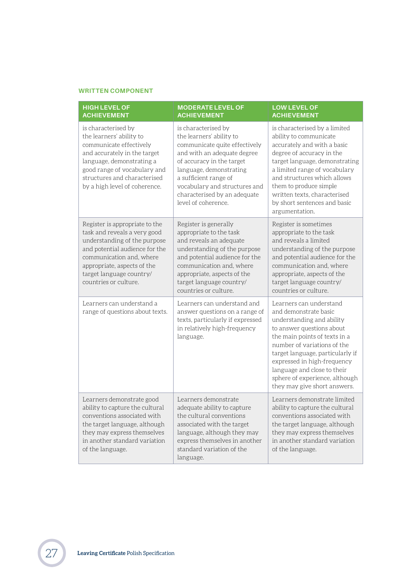#### **WRITTEN COMPONENT**

| <b>HIGH LEVEL OF</b><br><b>ACHIEVEMENT</b>                                                                                                                                                                                                       | <b>MODERATE LEVEL OF</b><br><b>ACHIEVEMENT</b>                                                                                                                                                                                                                                           | <b>LOW LEVEL OF</b><br><b>ACHIEVEMENT</b>                                                                                                                                                                                                                                                                                                      |
|--------------------------------------------------------------------------------------------------------------------------------------------------------------------------------------------------------------------------------------------------|------------------------------------------------------------------------------------------------------------------------------------------------------------------------------------------------------------------------------------------------------------------------------------------|------------------------------------------------------------------------------------------------------------------------------------------------------------------------------------------------------------------------------------------------------------------------------------------------------------------------------------------------|
| is characterised by<br>the learners' ability to<br>communicate effectively<br>and accurately in the target<br>language, demonstrating a<br>good range of vocabulary and<br>structures and characterised<br>by a high level of coherence.         | is characterised by<br>the learners' ability to<br>communicate quite effectively<br>and with an adequate degree<br>of accuracy in the target<br>language, demonstrating<br>a sufficient range of<br>vocabulary and structures and<br>characterised by an adequate<br>level of coherence. | is characterised by a limited<br>ability to communicate<br>accurately and with a basic<br>degree of accuracy in the<br>target language, demonstrating<br>a limited range of vocabulary<br>and structures which allows<br>them to produce simple<br>written texts, characterised<br>by short sentences and basic<br>argumentation.              |
| Register is appropriate to the<br>task and reveals a very good<br>understanding of the purpose<br>and potential audience for the<br>communication and, where<br>appropriate, aspects of the<br>target language country/<br>countries or culture. | Register is generally<br>appropriate to the task<br>and reveals an adequate<br>understanding of the purpose<br>and potential audience for the<br>communication and, where<br>appropriate, aspects of the<br>target language country/<br>countries or culture.                            | Register is sometimes<br>appropriate to the task<br>and reveals a limited<br>understanding of the purpose<br>and potential audience for the<br>communication and, where<br>appropriate, aspects of the<br>target language country/<br>countries or culture.                                                                                    |
| Learners can understand a<br>range of questions about texts.                                                                                                                                                                                     | Learners can understand and<br>answer questions on a range of<br>texts, particularly if expressed<br>in relatively high-frequency<br>language.                                                                                                                                           | Learners can understand<br>and demonstrate basic<br>understanding and ability<br>to answer questions about<br>the main points of texts in a<br>number of variations of the<br>target language, particularly if<br>expressed in high-frequency<br>language and close to their<br>sphere of experience, although<br>they may give short answers. |
| Learners demonstrate good<br>ability to capture the cultural<br>conventions associated with<br>the target language, although<br>they may express themselves<br>in another standard variation<br>of the language.                                 | Learners demonstrate<br>adequate ability to capture<br>the cultural conventions<br>associated with the target<br>language, although they may<br>express themselves in another<br>standard variation of the<br>language.                                                                  | Learners demonstrate limited<br>ability to capture the cultural<br>conventions associated with<br>the target language, although<br>they may express themselves<br>in another standard variation<br>of the language.                                                                                                                            |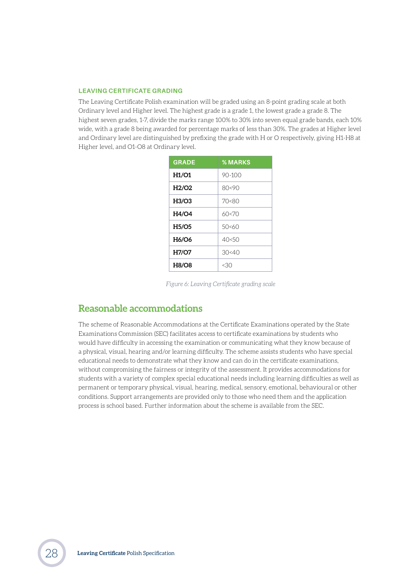#### <span id="page-27-0"></span>**LEAVING CERTIFICATE GRADING**

The Leaving Certificate Polish examination will be graded using an 8-point grading scale at both Ordinary level and Higher level. The highest grade is a grade 1, the lowest grade a grade 8. The highest seven grades, 1-7, divide the marks range 100% to 30% into seven equal grade bands, each 10% wide, with a grade 8 being awarded for percentage marks of less than 30%. The grades at Higher level and Ordinary level are distinguished by prefixing the grade with H or O respectively, giving H1-H8 at Higher level, and O1-O8 at Ordinary level.

| <b>GRADE</b>                   | <b>%MARKS</b> |
|--------------------------------|---------------|
| H1/O1                          | 90-100        |
| H2/O2                          | 80<90         |
| H <sub>3</sub> /O <sub>3</sub> | 70<80         |
| H4/O4                          | 60<70         |
| <b>H5/O5</b>                   | 50<60         |
| <b>H6/O6</b>                   | 40<50         |
| H7/O7                          | 30<40         |
| <b>H8/O8</b>                   | <30           |

*Figure 6: Leaving Certificate grading scale*

## **Reasonable accommodations**

The scheme of Reasonable Accommodations at the Certificate Examinations operated by the State Examinations Commission (SEC) facilitates access to certificate examinations by students who would have difficulty in accessing the examination or communicating what they know because of a physical, visual, hearing and/or learning difficulty. The scheme assists students who have special educational needs to demonstrate what they know and can do in the certificate examinations, without compromising the fairness or integrity of the assessment. It provides accommodations for students with a variety of complex special educational needs including learning difficulties as well as permanent or temporary physical, visual, hearing, medical, sensory, emotional, behavioural or other conditions. Support arrangements are provided only to those who need them and the application process is school based. Further information about the scheme is available from the SEC.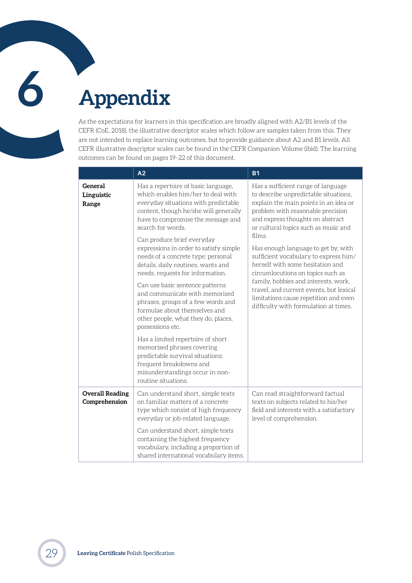# <span id="page-28-0"></span>**6 Appendix**

As the expectations for learners in this specification are broadly aligned with A2/B1 levels of the CEFR (CoE, 2018), the illustrative descriptor scales which follow are samples taken from this. They are not intended to replace learning outcomes, but to provide guidance about A2 and B1 levels. All CEFR illustrative descriptor scales can be found in the CEFR Companion Volume (ibid). The learning outcomes can be found on pages [19](#page-18-1)[–22](#page-21-0) of this document.

|                                         | A2                                                                                                                                                                                                                                                  | <b>B1</b>                                                                                                                                                                                                                                                                                                                                                                                                                                                                                                                                                                     |
|-----------------------------------------|-----------------------------------------------------------------------------------------------------------------------------------------------------------------------------------------------------------------------------------------------------|-------------------------------------------------------------------------------------------------------------------------------------------------------------------------------------------------------------------------------------------------------------------------------------------------------------------------------------------------------------------------------------------------------------------------------------------------------------------------------------------------------------------------------------------------------------------------------|
| General<br>Linguistic<br>Range          | Has a repertoire of basic language,<br>which enables him/her to deal with<br>everyday situations with predictable<br>content, though he/she will generally<br>have to compromise the message and<br>search for words.<br>Can produce brief everyday | Has a sufficient range of language<br>to describe unpredictable situations,<br>explain the main points in an idea or<br>problem with reasonable precision<br>and express thoughts on abstract<br>or cultural topics such as music and<br>films.<br>Has enough language to get by, with<br>sufficient vocabulary to express him/<br>herself with some hesitation and<br>circumlocutions on topics such as<br>family, hobbies and interests, work,<br>travel, and current events, but lexical<br>limitations cause repetition and even<br>difficulty with formulation at times. |
|                                         | expressions in order to satisfy simple<br>needs of a concrete type: personal<br>details, daily routines, wants and<br>needs, requests for information.                                                                                              |                                                                                                                                                                                                                                                                                                                                                                                                                                                                                                                                                                               |
|                                         | Can use basic sentence patterns<br>and communicate with memorised<br>phrases, groups of a few words and<br>formulae about themselves and<br>other people, what they do, places,<br>possessions etc.                                                 |                                                                                                                                                                                                                                                                                                                                                                                                                                                                                                                                                                               |
|                                         | Has a limited repertoire of short<br>memorised phrases covering<br>predictable survival situations;<br>frequent breakdowns and<br>misunderstandings occur in non-<br>routine situations.                                                            |                                                                                                                                                                                                                                                                                                                                                                                                                                                                                                                                                                               |
| <b>Overall Reading</b><br>Comprehension | Can understand short, simple texts<br>on familiar matters of a concrete<br>type which consist of high frequency<br>everyday or job-related language.                                                                                                | Can read straightforward factual<br>texts on subjects related to his/her<br>field and interests with a satisfactory<br>level of comprehension.                                                                                                                                                                                                                                                                                                                                                                                                                                |
|                                         | Can understand short, simple texts<br>containing the highest frequency<br>vocabulary, including a proportion of<br>shared international vocabulary items.                                                                                           |                                                                                                                                                                                                                                                                                                                                                                                                                                                                                                                                                                               |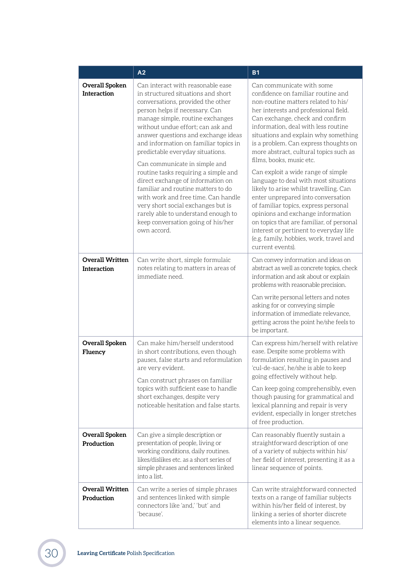|                                              | A2                                                                                                                                                                                                                                                                                                                                                                                                                                                                                                                                                                                                                                                                       | <b>B1</b>                                                                                                                                                                                                                                                                                                                                                                                                                                                                                                                                                                                                                                                                                                                                                                         |
|----------------------------------------------|--------------------------------------------------------------------------------------------------------------------------------------------------------------------------------------------------------------------------------------------------------------------------------------------------------------------------------------------------------------------------------------------------------------------------------------------------------------------------------------------------------------------------------------------------------------------------------------------------------------------------------------------------------------------------|-----------------------------------------------------------------------------------------------------------------------------------------------------------------------------------------------------------------------------------------------------------------------------------------------------------------------------------------------------------------------------------------------------------------------------------------------------------------------------------------------------------------------------------------------------------------------------------------------------------------------------------------------------------------------------------------------------------------------------------------------------------------------------------|
| Overall Spoken<br><b>Interaction</b>         | Can interact with reasonable ease<br>in structured situations and short<br>conversations, provided the other<br>person helps if necessary. Can<br>manage simple, routine exchanges<br>without undue effort; can ask and<br>answer questions and exchange ideas<br>and information on familiar topics in<br>predictable everyday situations.<br>Can communicate in simple and<br>routine tasks requiring a simple and<br>direct exchange of information on<br>familiar and routine matters to do<br>with work and free time. Can handle<br>very short social exchanges but is<br>rarely able to understand enough to<br>keep conversation going of his/her<br>own accord. | Can communicate with some<br>confidence on familiar routine and<br>non-routine matters related to his/<br>her interests and professional field.<br>Can exchange, check and confirm<br>information, deal with less routine<br>situations and explain why something<br>is a problem. Can express thoughts on<br>more abstract, cultural topics such as<br>films, books, music etc.<br>Can exploit a wide range of simple<br>language to deal with most situations<br>likely to arise whilst travelling. Can<br>enter unprepared into conversation<br>of familiar topics, express personal<br>opinions and exchange information<br>on topics that are familiar, of personal<br>interest or pertinent to everyday life<br>(e.g. family, hobbies, work, travel and<br>current events). |
| <b>Overall Written</b><br><b>Interaction</b> | Can write short, simple formulaic<br>notes relating to matters in areas of<br>immediate need.                                                                                                                                                                                                                                                                                                                                                                                                                                                                                                                                                                            | Can convey information and ideas on<br>abstract as well as concrete topics, check<br>information and ask about or explain<br>problems with reasonable precision.<br>Can write personal letters and notes<br>asking for or conveying simple<br>information of immediate relevance,<br>getting across the point he/she feels to<br>be important.                                                                                                                                                                                                                                                                                                                                                                                                                                    |
| <b>Overall Spoken</b><br>Fluency             | Can make him/herself understood<br>in short contributions, even though<br>pauses, false starts and reformulation<br>are very evident.<br>Can construct phrases on familiar<br>topics with sufficient ease to handle<br>short exchanges, despite very<br>noticeable hesitation and false starts.                                                                                                                                                                                                                                                                                                                                                                          | Can express him/herself with relative<br>ease. Despite some problems with<br>formulation resulting in pauses and<br>'cul-de-sacs', he/she is able to keep<br>going effectively without help.<br>Can keep going comprehensibly, even<br>though pausing for grammatical and<br>lexical planning and repair is very<br>evident, especially in longer stretches<br>of free production.                                                                                                                                                                                                                                                                                                                                                                                                |
| <b>Overall Spoken</b><br>Production          | Can give a simple description or<br>presentation of people, living or<br>working conditions, daily routines.<br>likes/dislikes etc. as a short series of<br>simple phrases and sentences linked<br>into a list.                                                                                                                                                                                                                                                                                                                                                                                                                                                          | Can reasonably fluently sustain a<br>straightforward description of one<br>of a variety of subjects within his/<br>her field of interest, presenting it as a<br>linear sequence of points.                                                                                                                                                                                                                                                                                                                                                                                                                                                                                                                                                                                        |
| <b>Overall Written</b><br>Production         | Can write a series of simple phrases<br>and sentences linked with simple<br>connectors like 'and,' 'but' and<br>'because'.                                                                                                                                                                                                                                                                                                                                                                                                                                                                                                                                               | Can write straightforward connected<br>texts on a range of familiar subjects<br>within his/her field of interest, by<br>linking a series of shorter discrete<br>elements into a linear sequence.                                                                                                                                                                                                                                                                                                                                                                                                                                                                                                                                                                                  |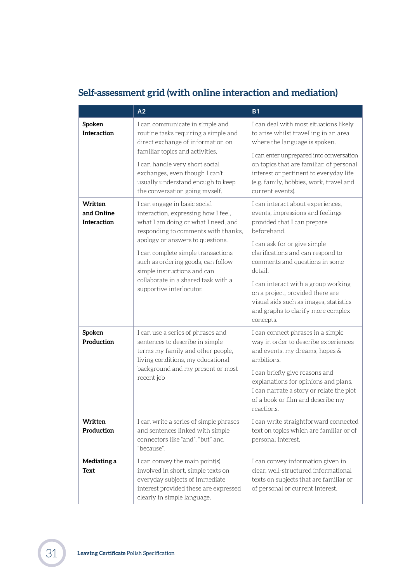## **Self-assessment grid (with online interaction and mediation)**

|                                             | A2                                                                                                                                                                                                                                                                                                                                                                  | <b>B1</b>                                                                                                                                                                                                                                                                                                                                                                                                     |
|---------------------------------------------|---------------------------------------------------------------------------------------------------------------------------------------------------------------------------------------------------------------------------------------------------------------------------------------------------------------------------------------------------------------------|---------------------------------------------------------------------------------------------------------------------------------------------------------------------------------------------------------------------------------------------------------------------------------------------------------------------------------------------------------------------------------------------------------------|
| Spoken<br><b>Interaction</b>                | I can communicate in simple and<br>routine tasks requiring a simple and<br>direct exchange of information on<br>familiar topics and activities.<br>I can handle very short social                                                                                                                                                                                   | I can deal with most situations likely<br>to arise whilst travelling in an area<br>where the language is spoken.<br>I can enter unprepared into conversation<br>on topics that are familiar, of personal                                                                                                                                                                                                      |
|                                             | exchanges, even though I can't<br>usually understand enough to keep<br>the conversation going myself.                                                                                                                                                                                                                                                               | interest or pertinent to everyday life<br>(e.g. family, hobbies, work, travel and<br>current events).                                                                                                                                                                                                                                                                                                         |
| Written<br>and Online<br><b>Interaction</b> | I can engage in basic social<br>interaction, expressing how I feel,<br>what I am doing or what I need, and<br>responding to comments with thanks,<br>apology or answers to questions.<br>I can complete simple transactions<br>such as ordering goods, can follow<br>simple instructions and can<br>collaborate in a shared task with a<br>supportive interlocutor. | I can interact about experiences,<br>events, impressions and feelings<br>provided that I can prepare<br>beforehand.<br>I can ask for or give simple<br>clarifications and can respond to<br>comments and questions in some<br>detail.<br>I can interact with a group working<br>on a project, provided there are<br>visual aids such as images, statistics<br>and graphs to clarify more complex<br>concepts. |
| Spoken<br>Production                        | I can use a series of phrases and<br>sentences to describe in simple<br>terms my family and other people,<br>living conditions, my educational<br>background and my present or most<br>recent job                                                                                                                                                                   | I can connect phrases in a simple<br>way in order to describe experiences<br>and events, my dreams, hopes &<br>ambitions<br>I can briefly give reasons and<br>explanations for opinions and plans.<br>I can narrate a story or relate the plot<br>of a book or film and describe my<br>reactions.                                                                                                             |
| Written<br>Production                       | I can write a series of simple phrases<br>and sentences linked with simple<br>connectors like "and", "but" and<br>"because".                                                                                                                                                                                                                                        | I can write straightforward connected<br>text on topics which are familiar or of<br>personal interest.                                                                                                                                                                                                                                                                                                        |
| Mediating a<br>Text                         | I can convey the main point(s)<br>involved in short, simple texts on<br>everyday subjects of immediate<br>interest provided these are expressed<br>clearly in simple language.                                                                                                                                                                                      | I can convey information given in<br>clear, well-structured informational<br>texts on subjects that are familiar or<br>of personal or current interest.                                                                                                                                                                                                                                                       |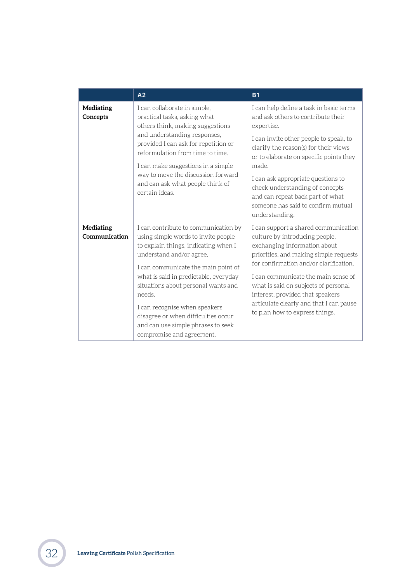|                                   | A <sub>2</sub>                                                                                                                                                                                                                                                                                                                                                                                                             | <b>B1</b>                                                                                                                                                                                                                                                                                                                                                                                               |
|-----------------------------------|----------------------------------------------------------------------------------------------------------------------------------------------------------------------------------------------------------------------------------------------------------------------------------------------------------------------------------------------------------------------------------------------------------------------------|---------------------------------------------------------------------------------------------------------------------------------------------------------------------------------------------------------------------------------------------------------------------------------------------------------------------------------------------------------------------------------------------------------|
| Mediating<br>Concepts             | I can collaborate in simple,<br>practical tasks, asking what<br>others think, making suggestions<br>and understanding responses,<br>provided I can ask for repetition or<br>reformulation from time to time.<br>I can make suggestions in a simple<br>way to move the discussion forward<br>and can ask what people think of<br>certain ideas.                                                                             | I can help define a task in basic terms<br>and ask others to contribute their<br>expertise.<br>I can invite other people to speak, to<br>clarify the reason(s) for their views<br>or to elaborate on specific points they<br>made.<br>I can ask appropriate questions to<br>check understanding of concepts<br>and can repeat back part of what<br>someone has said to confirm mutual<br>understanding. |
| <b>Mediating</b><br>Communication | I can contribute to communication by<br>using simple words to invite people<br>to explain things, indicating when I<br>understand and/or agree.<br>I can communicate the main point of<br>what is said in predictable, everyday<br>situations about personal wants and<br>needs<br>I can recognise when speakers<br>disagree or when difficulties occur<br>and can use simple phrases to seek<br>compromise and agreement. | I can support a shared communication<br>culture by introducing people,<br>exchanging information about<br>priorities, and making simple requests<br>for confirmation and/or clarification.<br>I can communicate the main sense of<br>what is said on subjects of personal<br>interest, provided that speakers<br>articulate clearly and that I can pause<br>to plan how to express things.              |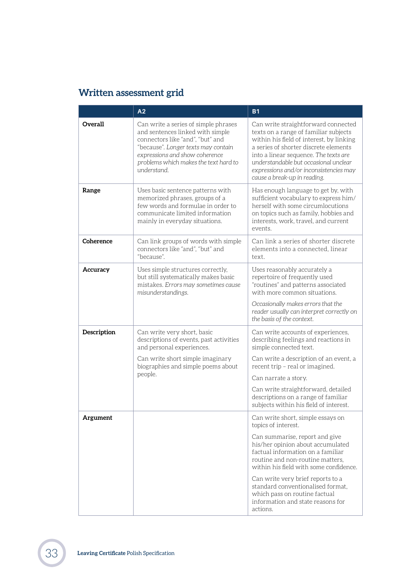## **Written assessment grid**

|             | A2                                                                                                                                                                                                                                            | <b>B1</b>                                                                                                                                                                                                                                                                                                                                                                                                      |
|-------------|-----------------------------------------------------------------------------------------------------------------------------------------------------------------------------------------------------------------------------------------------|----------------------------------------------------------------------------------------------------------------------------------------------------------------------------------------------------------------------------------------------------------------------------------------------------------------------------------------------------------------------------------------------------------------|
| Overall     | Can write a series of simple phrases<br>and sentences linked with simple<br>connectors like "and", "but" and<br>"because". Longer texts may contain<br>expressions and show coherence<br>problems which makes the text hard to<br>understand. | Can write straightforward connected<br>texts on a range of familiar subjects<br>within his field of interest, by linking<br>a series of shorter discrete elements<br>into a linear sequence. The texts are<br>understandable but occasional unclear<br>expressions and/or inconsistencies may<br>cause a break-up in reading.                                                                                  |
| Range       | Uses basic sentence patterns with<br>memorized phrases, groups of a<br>few words and formulae in order to<br>communicate limited information<br>mainly in everyday situations.                                                                | Has enough language to get by, with<br>sufficient vocabulary to express him/<br>herself with some circumlocutions<br>on topics such as family, hobbies and<br>interests, work, travel, and current<br>events.                                                                                                                                                                                                  |
| Coherence   | Can link groups of words with simple<br>connectors like "and", "but" and<br>"because".                                                                                                                                                        | Can link a series of shorter discrete<br>elements into a connected, linear<br>text.                                                                                                                                                                                                                                                                                                                            |
| Accuracy    | Uses simple structures correctly,<br>but still systematically makes basic<br>mistakes. Errors may sometimes cause<br>misunderstandings.                                                                                                       | Uses reasonably accurately a<br>repertoire of frequently used<br>"routines" and patterns associated<br>with more common situations.<br>Occasionally makes errors that the<br>reader usually can interpret correctly on<br>the basis of the context.                                                                                                                                                            |
| Description | Can write very short, basic<br>descriptions of events, past activities<br>and personal experiences.<br>Can write short simple imaginary<br>biographies and simple poems about<br>people.                                                      | Can write accounts of experiences,<br>describing feelings and reactions in<br>simple connected text.<br>Can write a description of an event, a<br>recent trip - real or imagined.<br>Can narrate a story.<br>Can write straightforward, detailed<br>descriptions on a range of familiar<br>subjects within his field of interest.                                                                              |
| Argument    |                                                                                                                                                                                                                                               | Can write short, simple essays on<br>topics of interest.<br>Can summarise, report and give<br>his/her opinion about accumulated<br>factual information on a familiar<br>routine and non-routine matters,<br>within his field with some confidence.<br>Can write very brief reports to a<br>standard conventionalised format,<br>which pass on routine factual<br>information and state reasons for<br>actions. |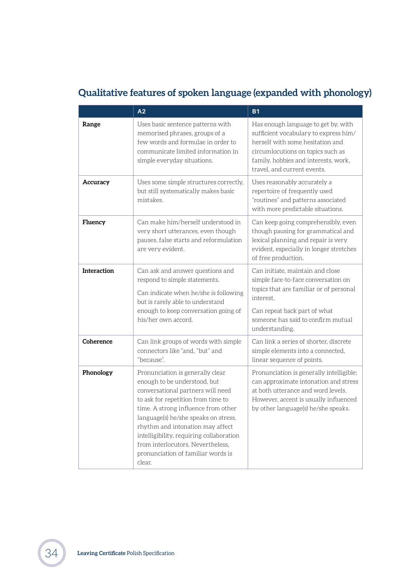## **Qualitative features of spoken language (expanded with phonology)**

|             | A2                                                                                                                                                                                                                                                                                                                                                                                              | <b>B1</b>                                                                                                                                                                                                                    |
|-------------|-------------------------------------------------------------------------------------------------------------------------------------------------------------------------------------------------------------------------------------------------------------------------------------------------------------------------------------------------------------------------------------------------|------------------------------------------------------------------------------------------------------------------------------------------------------------------------------------------------------------------------------|
| Range       | Uses basic sentence patterns with<br>memorised phrases, groups of a<br>few words and formulae in order to<br>communicate limited information in<br>simple everyday situations.                                                                                                                                                                                                                  | Has enough language to get by, with<br>sufficient vocabulary to express him/<br>herself with some hesitation and<br>circumlocutions on topics such as<br>family, hobbies and interests, work,<br>travel, and current events. |
| Accuracy    | Uses some simple structures correctly,<br>but still systematically makes basic<br>mistakes.                                                                                                                                                                                                                                                                                                     | Uses reasonably accurately a<br>repertoire of frequently used<br>"routines" and patterns associated<br>with more predictable situations.                                                                                     |
| Fluency     | Can make him/herself understood in<br>very short utterances, even though<br>pauses, false starts and reformulation<br>are very evident.                                                                                                                                                                                                                                                         | Can keep going comprehensibly, even<br>though pausing for grammatical and<br>lexical planning and repair is very<br>evident, especially in longer stretches<br>of free production.                                           |
| Interaction | Can ask and answer questions and<br>respond to simple statements.<br>Can indicate when he/she is following<br>but is rarely able to understand<br>enough to keep conversation going of<br>his/her own accord.                                                                                                                                                                                   | Can initiate, maintain and close<br>simple face-to-face conversation on<br>topics that are familiar or of personal<br>interest.<br>Can repeat back part of what<br>someone has said to confirm mutual<br>understanding.      |
| Coherence   | Can link groups of words with simple<br>connectors like "and, "but" and<br>"because".                                                                                                                                                                                                                                                                                                           | Can link a series of shorter, discrete<br>simple elements into a connected,<br>linear sequence of points.                                                                                                                    |
| Phonology   | Pronunciation is generally clear<br>enough to be understood, but<br>conversational partners will need<br>to ask for repetition from time to<br>time. A strong influence from other<br>language(s) he/she speaks on stress,<br>rhythm and intonation may affect<br>intelligibility, requiring collaboration<br>from interlocutors. Nevertheless,<br>pronunciation of familiar words is<br>clear. | Pronunciation is generally intelligible;<br>can approximate intonation and stress<br>at both utterance and word levels.<br>However, accent is usually influenced<br>by other language(s) he/she speaks.                      |